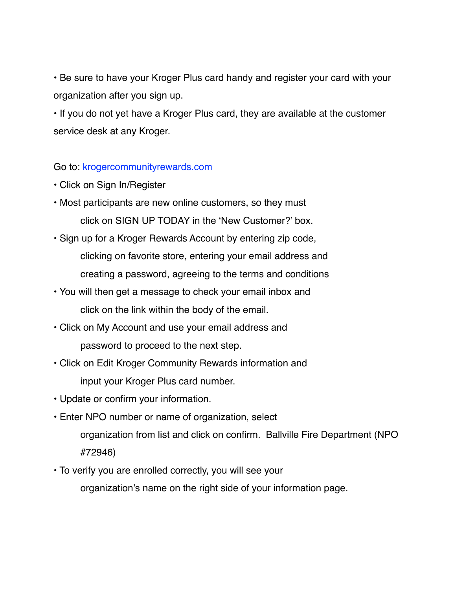• Be sure to have your Kroger Plus card handy and register your card with your organization after you sign up.

• If you do not yet have a Kroger Plus card, they are available at the customer service desk at any Kroger.

## Go to: [krogercommunityrewards.com](http://krogercommunityrewards.com)

- Click on Sign In/Register
- Most participants are new online customers, so they must click on SIGN UP TODAY in the 'New Customer?' box.
- Sign up for a Kroger Rewards Account by entering zip code, clicking on favorite store, entering your email address and creating a password, agreeing to the terms and conditions
- You will then get a message to check your email inbox and click on the link within the body of the email.
- Click on My Account and use your email address and password to proceed to the next step.
- Click on Edit Kroger Community Rewards information and input your Kroger Plus card number.
- Update or confirm your information.
- Enter NPO number or name of organization, select organization from list and click on confirm. Ballville Fire Department (NPO #72946)
- To verify you are enrolled correctly, you will see your organization's name on the right side of your information page.